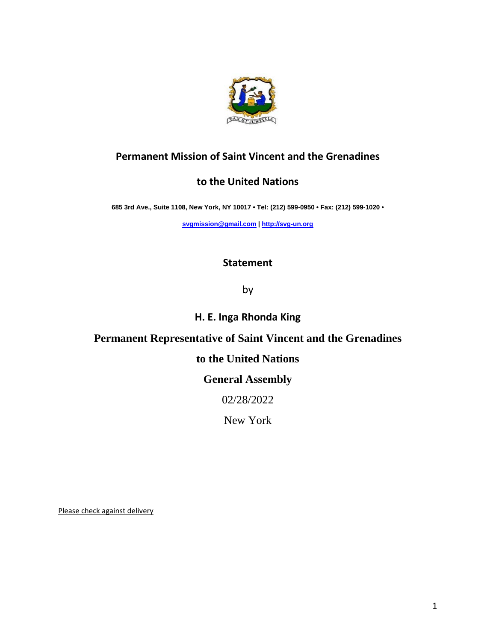

# **Permanent Mission of Saint Vincent and the Grenadines**

## **to the United Nations**

**685 3rd Ave., Suite 1108, New York, NY 10017 • Tel: (212) 599-0950 • Fax: (212) 599-1020 •** 

**[svgmission@gmail.com](mailto:svgmission@gmail.com) [| http://svg-un.org](http://svg-un.org/)**

#### **Statement**

by

# **H. E. Inga Rhonda King**

#### **Permanent Representative of Saint Vincent and the Grenadines**

## **to the United Nations**

## **General Assembly**

#### 02/28/2022

New York

Please check against delivery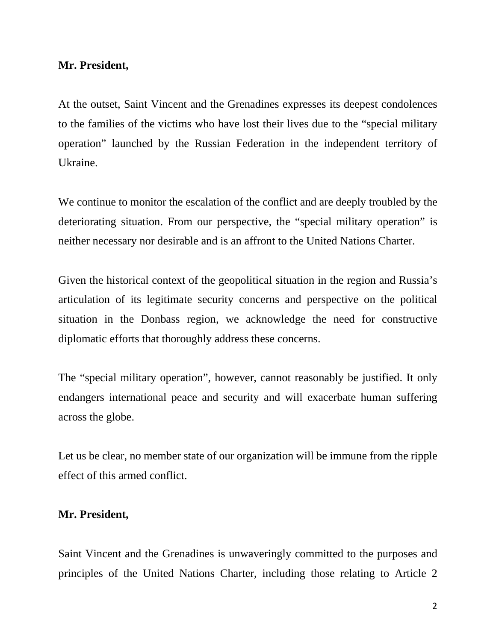#### **Mr. President,**

At the outset, Saint Vincent and the Grenadines expresses its deepest condolences to the families of the victims who have lost their lives due to the "special military operation" launched by the Russian Federation in the independent territory of Ukraine.

We continue to monitor the escalation of the conflict and are deeply troubled by the deteriorating situation. From our perspective, the "special military operation" is neither necessary nor desirable and is an affront to the United Nations Charter.

Given the historical context of the geopolitical situation in the region and Russia's articulation of its legitimate security concerns and perspective on the political situation in the Donbass region, we acknowledge the need for constructive diplomatic efforts that thoroughly address these concerns.

The "special military operation", however, cannot reasonably be justified. It only endangers international peace and security and will exacerbate human suffering across the globe.

Let us be clear, no member state of our organization will be immune from the ripple effect of this armed conflict.

#### **Mr. President,**

Saint Vincent and the Grenadines is unwaveringly committed to the purposes and principles of the United Nations Charter, including those relating to Article 2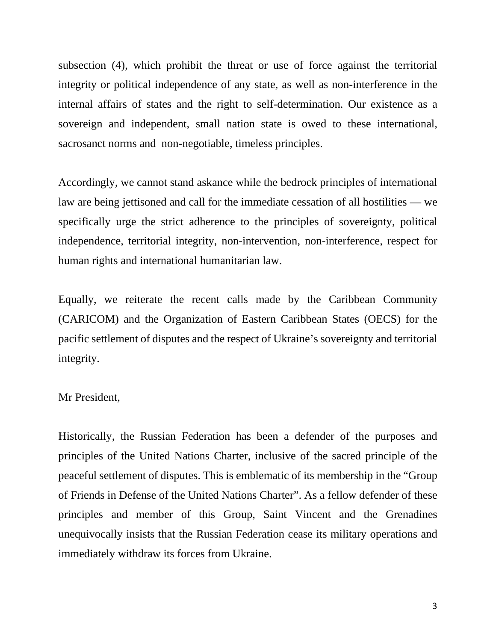subsection (4), which prohibit the threat or use of force against the territorial integrity or political independence of any state, as well as non-interference in the internal affairs of states and the right to self-determination. Our existence as a sovereign and independent, small nation state is owed to these international, sacrosanct norms and non-negotiable, timeless principles.

Accordingly, we cannot stand askance while the bedrock principles of international law are being jettisoned and call for the immediate cessation of all hostilities — we specifically urge the strict adherence to the principles of sovereignty, political independence, territorial integrity, non-intervention, non-interference, respect for human rights and international humanitarian law.

Equally, we reiterate the recent calls made by the Caribbean Community (CARICOM) and the Organization of Eastern Caribbean States (OECS) for the pacific settlement of disputes and the respect of Ukraine's sovereignty and territorial integrity.

#### Mr President,

Historically, the Russian Federation has been a defender of the purposes and principles of the United Nations Charter, inclusive of the sacred principle of the peaceful settlement of disputes. This is emblematic of its membership in the "Group of Friends in Defense of the United Nations Charter". As a fellow defender of these principles and member of this Group, Saint Vincent and the Grenadines unequivocally insists that the Russian Federation cease its military operations and immediately withdraw its forces from Ukraine.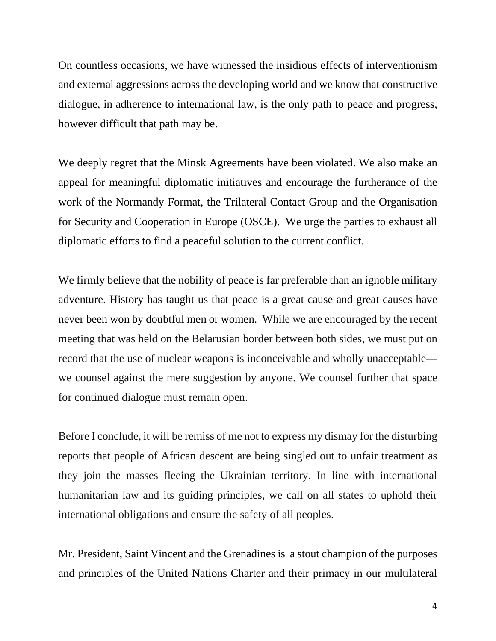On countless occasions, we have witnessed the insidious effects of interventionism and external aggressions across the developing world and we know that constructive dialogue, in adherence to international law, is the only path to peace and progress, however difficult that path may be.

We deeply regret that the Minsk Agreements have been violated. We also make an appeal for meaningful diplomatic initiatives and encourage the furtherance of the work of the Normandy Format, the Trilateral Contact Group and the Organisation for Security and Cooperation in Europe (OSCE). We urge the parties to exhaust all diplomatic efforts to find a peaceful solution to the current conflict.

We firmly believe that the nobility of peace is far preferable than an ignoble military adventure. History has taught us that peace is a great cause and great causes have never been won by doubtful men or women. While we are encouraged by the recent meeting that was held on the Belarusian border between both sides, we must put on record that the use of nuclear weapons is inconceivable and wholly unacceptable we counsel against the mere suggestion by anyone. We counsel further that space for continued dialogue must remain open.

Before I conclude, it will be remiss of me not to express my dismay for the disturbing reports that people of African descent are being singled out to unfair treatment as they join the masses fleeing the Ukrainian territory. In line with international humanitarian law and its guiding principles, we call on all states to uphold their international obligations and ensure the safety of all peoples.

Mr. President, Saint Vincent and the Grenadines is a stout champion of the purposes and principles of the United Nations Charter and their primacy in our multilateral